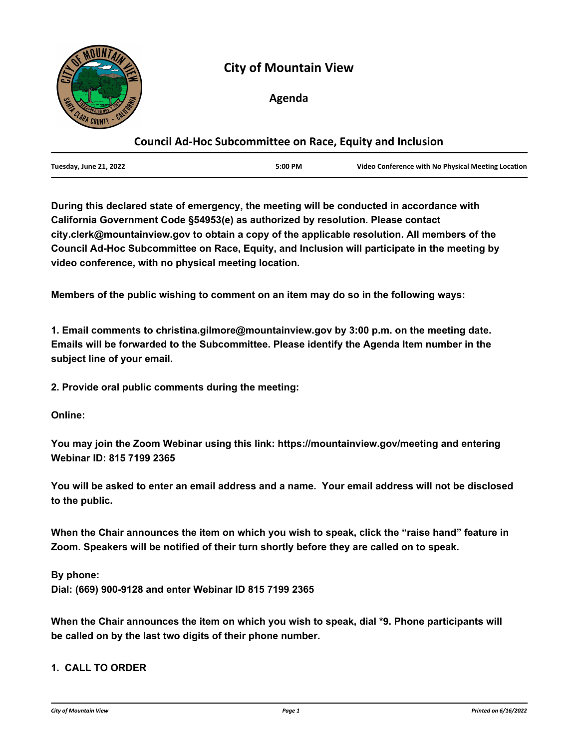

# **City of Mountain View**

# **Agenda**

# **Council Ad-Hoc Subcommittee on Race, Equity and Inclusion**

**During this declared state of emergency, the meeting will be conducted in accordance with California Government Code §54953(e) as authorized by resolution. Please contact city.clerk@mountainview.gov to obtain a copy of the applicable resolution. All members of the Council Ad-Hoc Subcommittee on Race, Equity, and Inclusion will participate in the meeting by video conference, with no physical meeting location.**

**Members of the public wishing to comment on an item may do so in the following ways:**

**1. Email comments to christina.gilmore@mountainview.gov by 3:00 p.m. on the meeting date. Emails will be forwarded to the Subcommittee. Please identify the Agenda Item number in the subject line of your email.** 

**2. Provide oral public comments during the meeting:**

**Online:**

**You may join the Zoom Webinar using this link: https://mountainview.gov/meeting and entering Webinar ID: 815 7199 2365**

**You will be asked to enter an email address and a name. Your email address will not be disclosed to the public.**

**When the Chair announces the item on which you wish to speak, click the "raise hand" feature in Zoom. Speakers will be notified of their turn shortly before they are called on to speak.**

**By phone: Dial: (669) 900-9128 and enter Webinar ID 815 7199 2365**

**When the Chair announces the item on which you wish to speak, dial \*9. Phone participants will be called on by the last two digits of their phone number.**

### **1. CALL TO ORDER**

*City of Mountain View Page 1 Printed on 6/16/2022*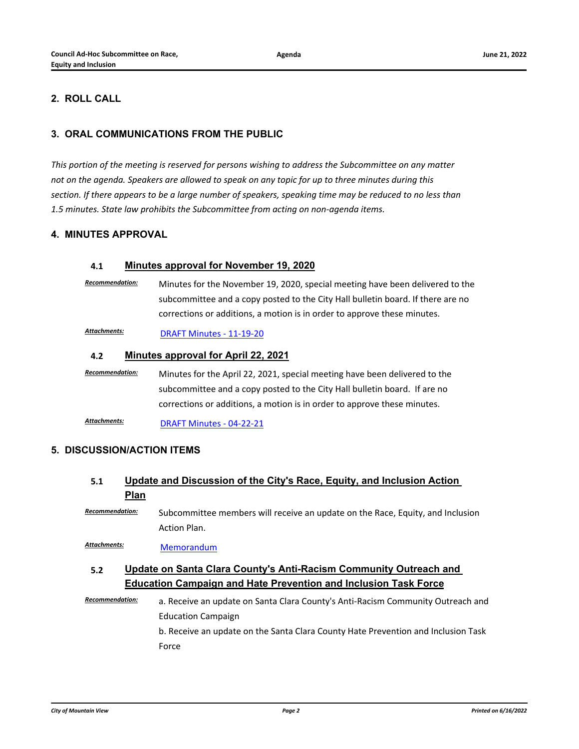# **2. ROLL CALL**

# **3. ORAL COMMUNICATIONS FROM THE PUBLIC**

*This portion of the meeting is reserved for persons wishing to address the Subcommittee on any matter not on the agenda. Speakers are allowed to speak on any topic for up to three minutes during this section. If there appears to be a large number of speakers, speaking time may be reduced to no less than 1.5 minutes. State law prohibits the Subcommittee from acting on non-agenda items.*

### **4. MINUTES APPROVAL**

### **4.1 [Minutes approval for November 19, 2020](http://mountainview.legistar.com/gateway.aspx?m=l&id=/matter.aspx?key=6603)**

*Recommendation:* Minutes for the November 19, 2020, special meeting have been delivered to the subcommittee and a copy posted to the City Hall bulletin board. If there are no corrections or additions, a motion is in order to approve these minutes.

Attachments: **[DRAFT Minutes - 11-19-20](http://mountainview.legistar.com/gateway.aspx?M=F&ID=741758fe-5b8d-4b9d-8ecb-b50c2f1d298d.pdf)** 

#### **4.2 [Minutes approval for April 22, 2021](http://mountainview.legistar.com/gateway.aspx?m=l&id=/matter.aspx?key=6593)**

*Recommendation:* Minutes for the April 22, 2021, special meeting have been delivered to the subcommittee and a copy posted to the City Hall bulletin board. If are no corrections or additions, a motion is in order to approve these minutes.

[DRAFT Minutes - 04-22-21](http://mountainview.legistar.com/gateway.aspx?M=F&ID=874fc8f9-5be9-404e-8956-aad00f26c43c.pdf) *Attachments:*

#### **5. DISCUSSION/ACTION ITEMS**

# **5.1 [Update and Discussion of the City's Race, Equity, and Inclusion Action](http://mountainview.legistar.com/gateway.aspx?m=l&id=/matter.aspx?key=6595)  Plan**

*Recommendation:* Subcommittee members will receive an update on the Race, Equity, and Inclusion Action Plan.

*Attachments:* [Memorandum](http://mountainview.legistar.com/gateway.aspx?M=F&ID=bba388c9-0be9-4b99-b036-ee695eefa963.pdf)

# **5.2 [Update on Santa Clara County's Anti-Racism Community Outreach and](http://mountainview.legistar.com/gateway.aspx?m=l&id=/matter.aspx?key=6594)  Education Campaign and Hate Prevention and Inclusion Task Force**

*Recommendation:* a. Receive an update on Santa Clara County's Anti-Racism Community Outreach and Education Campaign b. Receive an update on the Santa Clara County Hate Prevention and Inclusion Task Force